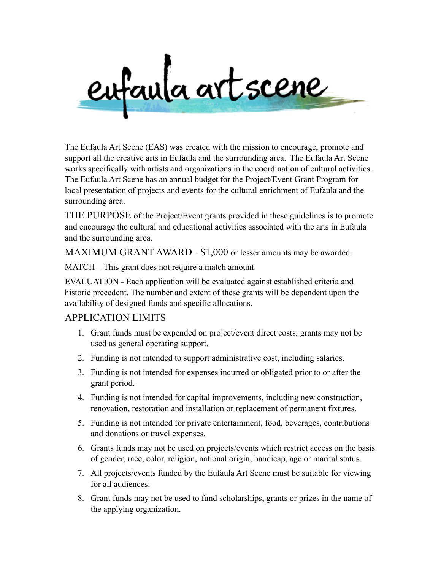

The Eufaula Art Scene (EAS) was created with the mission to encourage, promote and support all the creative arts in Eufaula and the surrounding area. The Eufaula Art Scene works specifically with artists and organizations in the coordination of cultural activities. The Eufaula Art Scene has an annual budget for the Project/Event Grant Program for local presentation of projects and events for the cultural enrichment of Eufaula and the surrounding area.

THE PURPOSE of the Project/Event grants provided in these guidelines is to promote and encourage the cultural and educational activities associated with the arts in Eufaula and the surrounding area.

MAXIMUM GRANT AWARD - \$1,000 or lesser amounts may be awarded.

MATCH – This grant does not require a match amount.

EVALUATION - Each application will be evaluated against established criteria and historic precedent. The number and extent of these grants will be dependent upon the availability of designed funds and specific allocations.

#### APPLICATION LIMITS

- 1. Grant funds must be expended on project/event direct costs; grants may not be used as general operating support.
- 2. Funding is not intended to support administrative cost, including salaries.
- 3. Funding is not intended for expenses incurred or obligated prior to or after the grant period.
- 4. Funding is not intended for capital improvements, including new construction, renovation, restoration and installation or replacement of permanent fixtures.
- 5. Funding is not intended for private entertainment, food, beverages, contributions and donations or travel expenses.
- 6. Grants funds may not be used on projects/events which restrict access on the basis of gender, race, color, religion, national origin, handicap, age or marital status.
- 7. All projects/events funded by the Eufaula Art Scene must be suitable for viewing for all audiences.
- 8. Grant funds may not be used to fund scholarships, grants or prizes in the name of the applying organization.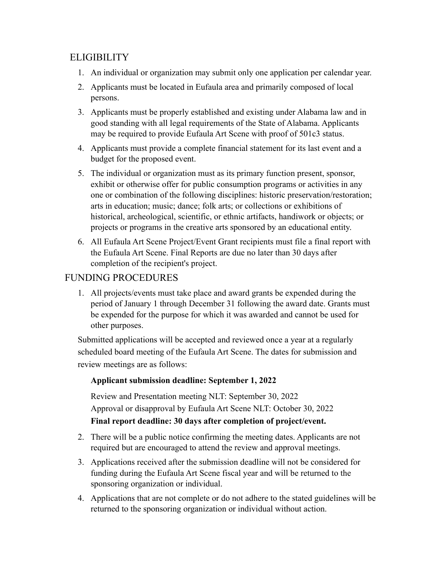# **ELIGIBILITY**

- 1. An individual or organization may submit only one application per calendar year.
- 2. Applicants must be located in Eufaula area and primarily composed of local persons.
- 3. Applicants must be properly established and existing under Alabama law and in good standing with all legal requirements of the State of Alabama. Applicants may be required to provide Eufaula Art Scene with proof of 501c3 status.
- 4. Applicants must provide a complete financial statement for its last event and a budget for the proposed event.
- 5. The individual or organization must as its primary function present, sponsor, exhibit or otherwise offer for public consumption programs or activities in any one or combination of the following disciplines: historic preservation/restoration; arts in education; music; dance; folk arts; or collections or exhibitions of historical, archeological, scientific, or ethnic artifacts, handiwork or objects; or projects or programs in the creative arts sponsored by an educational entity.
- 6. All Eufaula Art Scene Project/Event Grant recipients must file a final report with the Eufaula Art Scene. Final Reports are due no later than 30 days after completion of the recipient's project.

# FUNDING PROCEDURES

1. All projects/events must take place and award grants be expended during the period of January 1 through December 31 following the award date. Grants must be expended for the purpose for which it was awarded and cannot be used for other purposes.

Submitted applications will be accepted and reviewed once a year at a regularly scheduled board meeting of the Eufaula Art Scene. The dates for submission and review meetings are as follows:

#### **Applicant submission deadline: September 1, 2022**

Review and Presentation meeting NLT: September 30, 2022 Approval or disapproval by Eufaula Art Scene NLT: October 30, 2022 **Final report deadline: 30 days after completion of project/event.**

- 2. There will be a public notice confirming the meeting dates. Applicants are not required but are encouraged to attend the review and approval meetings.
- 3. Applications received after the submission deadline will not be considered for funding during the Eufaula Art Scene fiscal year and will be returned to the sponsoring organization or individual.
- 4. Applications that are not complete or do not adhere to the stated guidelines will be returned to the sponsoring organization or individual without action.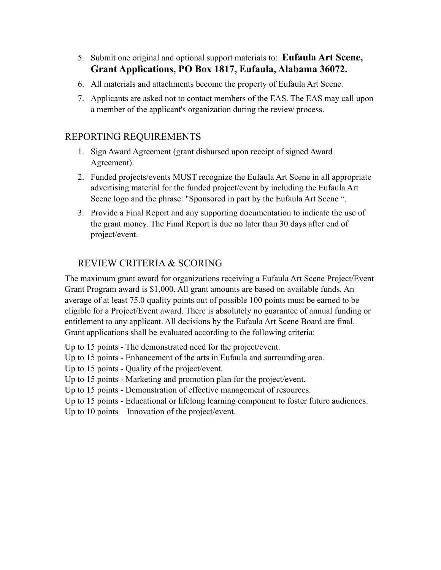- 5. Submit one original and optional support materials to: **Eufaula Art Scene, Grant Applications, PO Box 1817, Eufaula, Alabama 36072.**
- 6. All materials and attachments become the property of Eufaula Art Scene.
- 7. Applicants are asked not to contact members of the EAS. The EAS may call upon a member of the applicant's organization during the review process.

# REPORTING REQUIREMENTS

- 1. Sign Award Agreement (grant disbursed upon receipt of signed Award Agreement).
- 2. Funded projects/events MUST recognize the Eufaula Art Scene in all appropriate advertising material for the funded project/event by including the Eufaula Art Scene logo and the phrase: "Sponsored in part by the Eufaula Art Scene ".
- 3. Provide a Final Report and any supporting documentation to indicate the use of the grant money. The Final Report is due no later than 30 days after end of project/event.

# REVIEW CRITERIA & SCORING

The maximum grant award for organizations receiving a Eufaula Art Scene Project/Event Grant Program award is \$1,000. All grant amounts are based on available funds. An average of at least 75.0 quality points out of possible 100 points must be earned to be eligible for a Project/Event award. There is absolutely no guarantee of annual funding or entitlement to any applicant. All decisions by the Eufaula Art Scene Board are final. Grant applications shall be evaluated according to the following criteria:

- Up to 15 points The demonstrated need for the project/event.
- Up to 15 points Enhancement of the arts in Eufaula and surrounding area.

Up to 15 points - Quality of the project/event.

- Up to 15 points Marketing and promotion plan for the project/event.
- Up to 15 points Demonstration of effective management of resources.
- Up to 15 points Educational or lifelong learning component to foster future audiences.

Up to 10 points – Innovation of the project/event.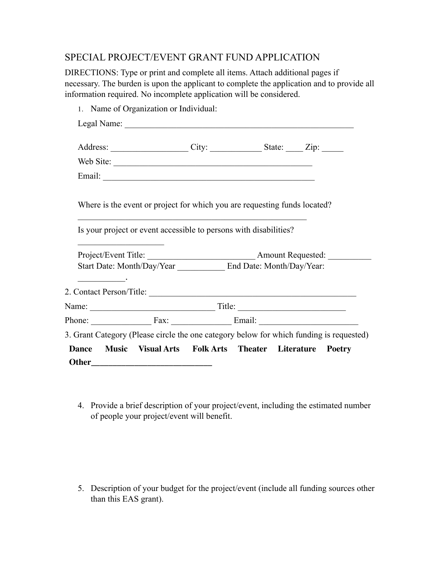#### SPECIAL PROJECT/EVENT GRANT FUND APPLICATION

DIRECTIONS: Type or print and complete all items. Attach additional pages if necessary. The burden is upon the applicant to complete the application and to provide all information required. No incomplete application will be considered.

|                                                                            |  | Address: City: City: State: Zip:                                                                                                                                 |  |
|----------------------------------------------------------------------------|--|------------------------------------------------------------------------------------------------------------------------------------------------------------------|--|
|                                                                            |  | Web Site:                                                                                                                                                        |  |
|                                                                            |  |                                                                                                                                                                  |  |
|                                                                            |  | Is your project or event accessible to persons with disabilities?                                                                                                |  |
| the control of the control of the control of the control of the control of |  |                                                                                                                                                                  |  |
|                                                                            |  |                                                                                                                                                                  |  |
|                                                                            |  |                                                                                                                                                                  |  |
| <u> Liberal Maria de la P</u>                                              |  |                                                                                                                                                                  |  |
|                                                                            |  |                                                                                                                                                                  |  |
|                                                                            |  |                                                                                                                                                                  |  |
|                                                                            |  | Phone: $\frac{Fax}{ax}$ Fax: $\frac{Fax}{ax}$ Email: $\frac{Fax}{ax}$<br>3. Grant Category (Please circle the one category below for which funding is requested) |  |

4. Provide a brief description of your project/event, including the estimated number of people your project/event will benefit.

5. Description of your budget for the project/event (include all funding sources other than this EAS grant).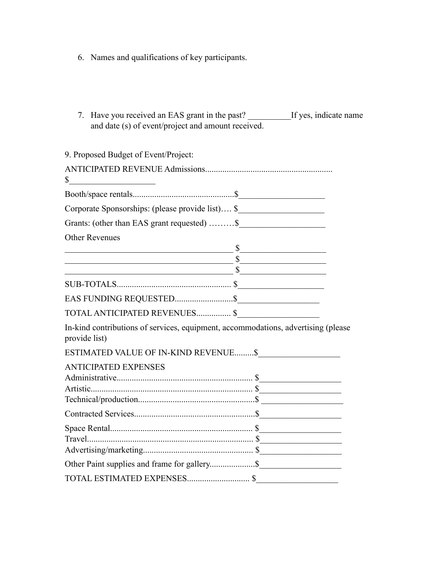- 6. Names and qualifications of key participants.
- 7. Have you received an EAS grant in the past? \_\_\_\_\_\_\_\_\_\_If yes, indicate name and date (s) of event/project and amount received.

| Corporate Sponsorships: (please provide list) \$                                                                                                                                                                              |
|-------------------------------------------------------------------------------------------------------------------------------------------------------------------------------------------------------------------------------|
| Grants: (other than EAS grant requested) \$                                                                                                                                                                                   |
|                                                                                                                                                                                                                               |
| $s$ and the contract of the contract of $s$                                                                                                                                                                                   |
| $s$ and $s$ and $s$ and $s$ and $s$ and $s$ and $s$ and $s$ and $s$ and $s$ and $s$ and $s$ and $s$ and $s$ and $s$ and $s$ and $s$ and $s$ and $s$ and $s$ and $s$ and $s$ and $s$ and $s$ and $s$ and $s$ and $s$ and $s$ a |
| s                                                                                                                                                                                                                             |
|                                                                                                                                                                                                                               |
|                                                                                                                                                                                                                               |
|                                                                                                                                                                                                                               |
| In-kind contributions of services, equipment, accommodations, advertising (please                                                                                                                                             |
|                                                                                                                                                                                                                               |
|                                                                                                                                                                                                                               |
|                                                                                                                                                                                                                               |
|                                                                                                                                                                                                                               |
|                                                                                                                                                                                                                               |
|                                                                                                                                                                                                                               |
|                                                                                                                                                                                                                               |
| Other Paint supplies and frame for gallery\$                                                                                                                                                                                  |
|                                                                                                                                                                                                                               |
|                                                                                                                                                                                                                               |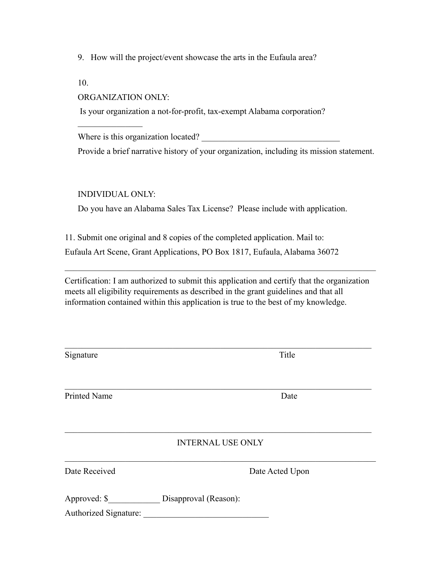9. How will the project/event showcase the arts in the Eufaula area?

10.

#### ORGANIZATION ONLY:

 $\mathcal{L}_\text{max}$ 

Is your organization a not-for-profit, tax-exempt Alabama corporation?

Where is this organization located?

Provide a brief narrative history of your organization, including its mission statement.

INDIVIDUAL ONLY:

Do you have an Alabama Sales Tax License? Please include with application.

11. Submit one original and 8 copies of the completed application. Mail to: Eufaula Art Scene, Grant Applications, PO Box 1817, Eufaula, Alabama 36072

Certification: I am authorized to submit this application and certify that the organization meets all eligibility requirements as described in the grant guidelines and that all information contained within this application is true to the best of my knowledge.

 $\mathcal{L}_\text{max}$  , and the contribution of the contribution of the contribution of the contribution of the contribution of the contribution of the contribution of the contribution of the contribution of the contribution of t

 $\mathcal{L}_\text{max}$  , and the contribution of the contribution of the contribution of the contribution of the contribution of the contribution of the contribution of the contribution of the contribution of the contribution of t

| Signature             | Title                    |
|-----------------------|--------------------------|
|                       |                          |
| Printed Name          | Date                     |
|                       |                          |
|                       | <b>INTERNAL USE ONLY</b> |
| Date Received         | Date Acted Upon          |
| Approved: \$          | Disapproval (Reason):    |
| Authorized Signature: |                          |